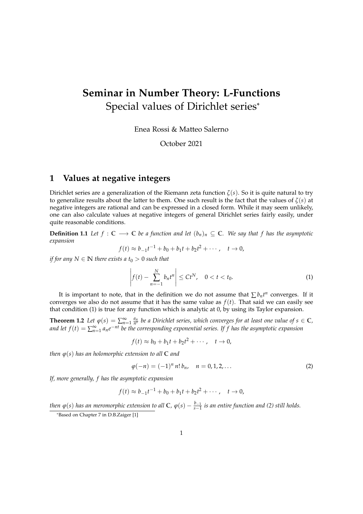# **Seminar in Number Theory: L-Functions** Special values of Dirichlet series\*

Enea Rossi & Matteo Salerno

October 2021

#### **1 Values at negative integers**

Dirichlet series are a generalization of the Riemann zeta function  $\zeta(s)$ . So it is quite natural to try to generalize results about the latter to them. One such result is the fact that the values of  $\zeta(s)$  at negative integers are rational and can be expressed in a closed form. While it may seem unlikely, one can also calculate values at negative integers of general Dirichlet series fairly easily, under quite reasonable conditions.

**Definition 1.1** *Let*  $f$  : **C** → **C** *be a function and let*  $(b_n)_n$  ⊆ **C***.* We say that  $f$  has the asymptotic *expansion*

$$
f(t) \approx b_{-1}t^{-1} + b_0 + b_1t + b_2t^2 + \cdots, \quad t \to 0,
$$

*if for any*  $N \in \mathbb{N}$  *there exists a*  $t_0 > 0$  *such that* 

<span id="page-0-0"></span>
$$
\left| f(t) - \sum_{n=-1}^{N} b_n t^n \right| \leq Ct^N, \quad 0 < t < t_0.
$$
 (1)

It is important to note, that in the definition we do not assume that  $\sum b_n t^n$  converges. If it converges we also do not assume that it has the same value as  $f(t)$ . That said we can easily see that condition [\(1\)](#page-0-0) is true for any function which is analytic at 0, by using its Taylor expansion.

<span id="page-0-2"></span>**Theorem 1.2** *Let*  $\varphi(s) = \sum_{n=1}^{\infty} \frac{a_n}{n^s}$  *be a Dirichlet series, which converges for at least one value of*  $s \in \mathbb{C}$ *,* and let  $f(t) = \sum_{n=1}^{\infty} a_n e^{-nt}$  be the corresponding exponential series. If f has the asymptotic expansion

$$
f(t) \approx b_0 + b_1 t + b_2 t^2 + \cdots, \quad t \to 0,
$$

*then*  $\varphi$ (*s*) *has an holomorphic extension to all*  $\mathbb{C}$  *and* 

<span id="page-0-1"></span>
$$
\varphi(-n) = (-1)^n n! b_n, \quad n = 0, 1, 2, \dots
$$
 (2)

*If, more generally, f has the asymptotic expansion*

$$
f(t) \approx b_{-1}t^{-1} + b_0 + b_1t + b_2t^2 + \cdots, \quad t \to 0,
$$

*then*  $\varphi$ (s) has an meromorphic extension to all  $\mathbb{C}$ ,  $\varphi(s) - \frac{b_{-1}}{s-1}$  is an entire function and [\(2\)](#page-0-1) still holds.

<sup>\*</sup>Based on Chapter 7 in D.B.Zaiger [\[1\]](#page-10-0)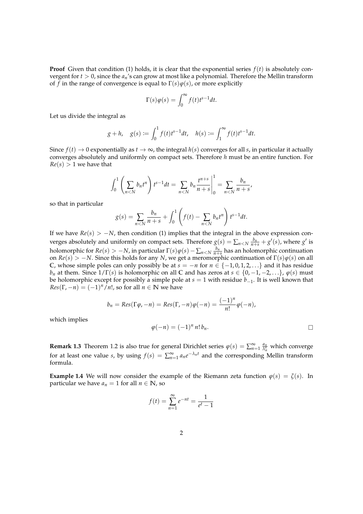**Proof** Given that condition [\(1\)](#page-0-0) holds, it is clear that the exponential series  $f(t)$  is absolutely convergent for *t* > 0, since the *an*'s can grow at most like a polynomial. Therefore the Mellin transform of *f* in the range of convergence is equal to  $\Gamma(s)\varphi(s)$ , or more explicitly

$$
\Gamma(s)\varphi(s) = \int_0^\infty f(t)t^{s-1}dt.
$$

Let us divide the integral as

$$
g + h
$$
,  $g(s) := \int_0^1 f(t)t^{s-1}dt$ ,  $h(s) := \int_1^{\infty} f(t)t^{s-1}dt$ .

Since  $f(t) \to 0$  exponentially as  $t \to \infty$ , the integral  $h(s)$  converges for all *s*, in particular it actually converges absolutely and uniformly on compact sets. Therefore *h* must be an entire function. For  $Re(s) > 1$  we have that

$$
\int_0^1 \left( \sum_{n < N} b_n t^n \right) t^{s-1} dt = \sum_{n < N} b_n \frac{t^{n+s}}{n+s} \bigg|_0^1 = \sum_{n < N} \frac{b_n}{n+s},
$$

so that in particular

$$
g(s) = \sum_{n < N} \frac{b_n}{n+s} + \int_0^1 \left( f(t) - \sum_{n < N} b_n t^n \right) t^{s-1} dt.
$$

If we have  $Re(s) > -N$ , then condition [\(1\)](#page-0-0) implies that the integral in the above expression converges absolutely and uniformly on compact sets. Therefore  $g(s) = \sum_{n < N} \frac{b_n}{n+s} + g'(s)$ , where  $g'$  is holomorphic for  $Re(s) > -N$ , in particular  $\Gamma(s)\varphi(s) - \sum_{n \le N} \frac{b_n}{n+s}$  has an holomorphic continuation on  $Re(s) > -N$ . Since this holds for any *N*, we get a meromorphic continuation of  $\Gamma(s)\varphi(s)$  on all C, whose simple poles can only possibly be at  $s = −n$  for  $n \in \{-1, 0, 1, 2, \ldots\}$  and it has residue *b<sub>n</sub>* at them. Since  $1/\Gamma(s)$  is holomorphic on all **C** and has zeros at  $s \in \{0, -1, -2, ...\}$ ,  $\varphi(s)$  must be holomorphic except for possibly a simple pole at *s* = 1 with residue *b*−1. It is well known that  $Res(\Gamma, -n) = (-1)^n/n!$ , so for all  $n \in \mathbb{N}$  we have

$$
b_n = Res(\Gamma \varphi, -n) = Res(\Gamma, -n) \varphi(-n) = \frac{(-1)^n}{n!} \varphi(-n),
$$

which implies

$$
\varphi(-n) = (-1)^n n! \, b_n.
$$

**Remark 1.3** Theorem [1.2](#page-0-2) is also true for general Dirichlet series  $\varphi(s) = \sum_{n=1}^{\infty} \frac{a_n}{\lambda_n^s}$  which converge for at least one value *s*, by using  $f(s) = \sum_{n=1}^{\infty} a_n e^{-\lambda_n t}$  and the corresponding Mellin transform formula.

**Example 1.4** We will now consider the example of the Riemann zeta function  $\varphi(s) = \zeta(s)$ . In particular we have  $a_n = 1$  for all  $n \in \mathbb{N}$ , so

$$
f(t) = \sum_{n=1}^{\infty} e^{-nt} = \frac{1}{e^t - 1}
$$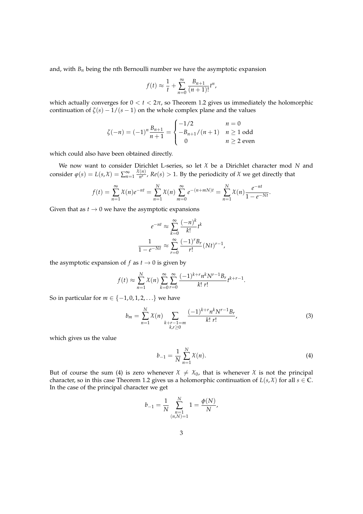and, with  $B_n$  being the nth Bernoulli number we have the asymptotic expansion

$$
f(t) \approx \frac{1}{t} + \sum_{n=0}^{\infty} \frac{B_{n+1}}{(n+1)!} t^n
$$

which actually converges for  $0 < t < 2\pi$ , so Theorem [1.2](#page-0-2) gives us immediately the holomorphic continuation of  $\zeta(s) - 1/(s - 1)$  on the whole complex plane and the values

$$
\zeta(-n) = (-1)^n \frac{B_{n+1}}{n+1} = \begin{cases} -1/2 & n = 0\\ -B_{n+1}/(n+1) & n \ge 1 \text{ odd} \\ 0 & n \ge 2 \text{ even} \end{cases}
$$

which could also have been obtained directly.

We now want to consider Dirichlet L-series, so let *χ* be a Dirichlet character mod *N* and consider  $\varphi(s) = L(s, \mathcal{X}) = \sum_{n=1}^{\infty}$ *χ*(*n*)  $\frac{(n)}{n^s}$ , *Re*(*s*) > 1. By the periodicity of *χ* we get directly that

$$
f(t) = \sum_{n=1}^{\infty} \chi(n)e^{-nt} = \sum_{n=1}^{N} \chi(n) \sum_{m=0}^{\infty} e^{-(n+mN)t} = \sum_{n=1}^{N} \chi(n) \frac{e^{-nt}}{1 - e^{-Nt}}.
$$

Given that as  $t \to 0$  we have the asymptotic expansions

$$
e^{-nt} \approx \sum_{k=0}^{\infty} \frac{(-n)^k}{k!} t^k
$$

$$
\frac{1}{1 - e^{-Nt}} \approx \sum_{r=0}^{\infty} \frac{(-1)^r B_r}{r!} (Nt)^{r-1}
$$

the asymptotic expansion of  $f$  as  $t \to 0$  is given by

$$
f(t) \approx \sum_{n=1}^{N} \chi(n) \sum_{k=0}^{\infty} \sum_{r=0}^{\infty} \frac{(-1)^{k+r} n^k N^{r-1} B_r}{k! r!} t^{k+r-1}.
$$

So in particular for  $m \in \{-1, 0, 1, 2, \ldots\}$  we have

$$
b_m = \sum_{n=1}^{N} \chi(n) \sum_{\substack{k+r-1=m\\k,r \ge 0}} \frac{(-1)^{k+r} n^k N^{r-1} B_r}{k! \ r!},
$$
\n(3)

<span id="page-2-1"></span><span id="page-2-0"></span>,

which gives us the value

$$
b_{-1} = \frac{1}{N} \sum_{n=1}^{N} \chi(n).
$$
 (4)

But of course the sum [\(4\)](#page-2-0) is zero whenever  $\chi \neq \chi_0$ , that is whenever  $\chi$  is not the principal character, so in this case Theorem [1.2](#page-0-2) gives us a holomorphic continuation of  $L(s, \chi)$  for all  $s \in \mathbb{C}$ . In the case of the principal character we get

$$
b_{-1} = \frac{1}{N} \sum_{\substack{n=1 \ (n,N)=1}}^{N} 1 = \frac{\phi(N)}{N},
$$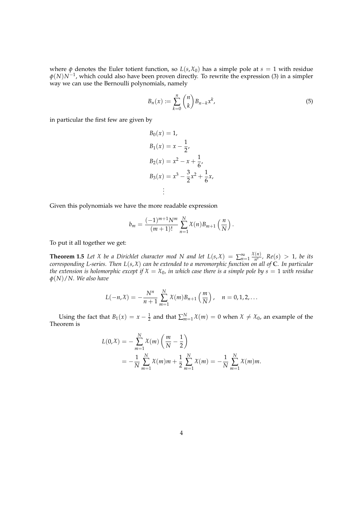where  $\phi$  denotes the Euler totient function, so  $L(s, \mathcal{X}_0)$  has a simple pole at  $s = 1$  with residue *φ*(*N*)*N*−<sup>1</sup> , which could also have been proven directly. To rewrite the expression [\(3\)](#page-2-1) in a simpler way we can use the Bernoulli polynomials, namely

$$
B_n(x) := \sum_{k=0}^n \binom{n}{k} B_{n-k} x^k,
$$
\n<sup>(5)</sup>

in particular the first few are given by

$$
B_0(x) = 1,
$$
  
\n
$$
B_1(x) = x - \frac{1}{2},
$$
  
\n
$$
B_2(x) = x^2 - x + \frac{1}{6},
$$
  
\n
$$
B_3(x) = x^3 - \frac{3}{2}x^2 + \frac{1}{6}x,
$$
  
\n
$$
\vdots
$$

Given this polynomials we have the more readable expression

<span id="page-3-0"></span>
$$
b_m = \frac{(-1)^{m+1}N^m}{(m+1)!} \sum_{n=1}^N \chi(n) B_{m+1} \left( \frac{n}{N} \right).
$$

To put it all together we get:

**Theorem 1.5** *Let*  $\chi$  *be a Dirichlet character mod*  $N$  *and let*  $L(s,\chi) = \sum_{n=1}^{\infty}$ *χ*(*n*)  $\frac{R^{(n)}}{n^s}$ ,  $Re(s) > 1$ , be its *corresponding L-series. Then L*(*s*, *χ*) *can be extended to a meromorphic function on all of* **C***. In particular the extension is holomorphic except if*  $X = X_0$ *, in which case there is a simple pole by*  $s = 1$  *with residue φ*(*N*)/*N. We also have*

$$
L(-n,\chi) = -\frac{N^n}{n+1} \sum_{m=1}^{N} \chi(m) B_{n+1}\left(\frac{m}{N}\right), \quad n = 0, 1, 2, ...
$$

Using the fact that  $B_1(x) = x - \frac{1}{2}$  and that  $\sum_{m=1}^{N} \chi(m) = 0$  when  $\chi \neq \chi_0$ , an example of the Theorem is

$$
L(0,\chi) = -\sum_{m=1}^{N} \chi(m) \left(\frac{m}{N} - \frac{1}{2}\right)
$$
  
=  $-\frac{1}{N} \sum_{m=1}^{N} \chi(m)m + \frac{1}{2} \sum_{m=1}^{N} \chi(m) = -\frac{1}{N} \sum_{m=1}^{N} \chi(m)m.$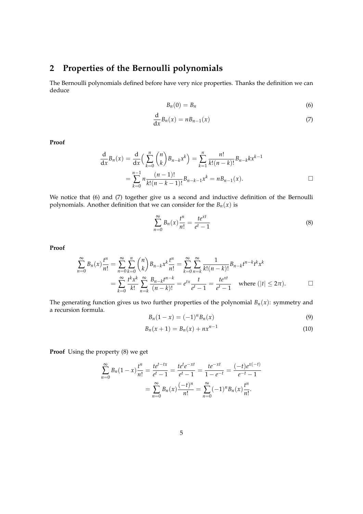## **2 Properties of the Bernoulli polynomials**

The Bernoulli polynomials defined before have very nice properties. Thanks the definition we can deduce

<span id="page-4-0"></span>
$$
B_n(0) = B_n \tag{6}
$$

<span id="page-4-1"></span>
$$
\frac{\mathrm{d}}{\mathrm{d}x}B_n(x) = nB_{n-1}(x) \tag{7}
$$

**Proof**

$$
\frac{d}{dx}B_n(x) = \frac{d}{dx}\left(\sum_{k=0}^n \binom{n}{k}B_{n-k}x^k\right) = \sum_{k=1}^n \frac{n!}{k!(n-k)!}B_{n-k}kx^{k-1}
$$

$$
= \sum_{k=0}^{n-1} n \frac{(n-1)!}{k!(n-k-1)!}B_{n-k-1}x^k = nB_{n-1}(x).
$$

We notice that [\(6\)](#page-4-0) and [\(7\)](#page-4-1) together give us a second and inductive definition of the Bernoulli polynomials. Another definition that we can consider for the  $B_n(x)$  is

<span id="page-4-2"></span>
$$
\sum_{n=0}^{\infty} B_n(x) \frac{t^n}{n!} = \frac{te^{xt}}{e^t - 1}
$$
\n(8)

**Proof**

$$
\sum_{n=0}^{\infty} B_n(x) \frac{t^n}{n!} = \sum_{n=0}^{\infty} \sum_{k=0}^n {n \choose k} B_{n-k} x^k \frac{t^n}{n!} = \sum_{k=0}^{\infty} \sum_{n=k}^{\infty} \frac{1}{k! (n-k)!} B_{n-k} t^{n-k} t^k x^k
$$

$$
= \sum_{k=0}^{\infty} \frac{t^k x^k}{k!} \sum_{n=k}^{\infty} \frac{B_{n-k} t^{n-k}}{(n-k)!} = e^{tx} \frac{t}{e^t - 1} = \frac{te^{xt}}{e^t - 1} \quad \text{where } (|t| \le 2\pi). \qquad \Box
$$

The generating function gives us two further properties of the polynomial  $B_n(x)$ : symmetry and a recursion formula.

<span id="page-4-3"></span>
$$
B_n(1-x) = (-1)^n B_n(x)
$$
\n(9)

<span id="page-4-4"></span>
$$
B_n(x+1) = B_n(x) + nx^{n-1}
$$
\n(10)

**Proof** Using the property [\(8\)](#page-4-2) we get

$$
\sum_{n=0}^{\infty} B_n (1-x) \frac{t^n}{n!} = \frac{te^{t-tx}}{e^t - 1} = \frac{te^t e^{-xt}}{e^t - 1} = \frac{te^{-xt}}{1 - e^{-t}} = \frac{(-t)e^{x(-t)}}{e^{-t} - 1}
$$

$$
= \sum_{n=0}^{\infty} B_n(x) \frac{(-t)^n}{n!} = \sum_{n=0}^{\infty} (-1)^n B_n(x) \frac{t^n}{n!}.
$$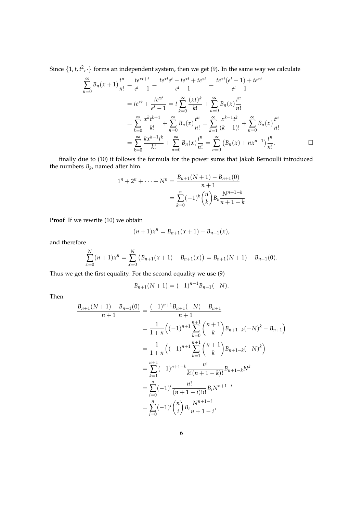Since  $\{1, t, t^2, \cdot\}$  forms an independent system, then we get [\(9\)](#page-4-3). In the same way we calculate

$$
\sum_{n=0}^{\infty} B_n(x+1) \frac{t^n}{n!} = \frac{te^{xt+t}}{e^t - 1} = \frac{te^{xt}e^t - te^{xt} + te^{xt}}{e^t - 1} = \frac{te^{xt}(e^t - 1) + te^{xt}}{e^t - 1}
$$

$$
= te^{xt} + \frac{te^{xt}}{e^t - 1} = t \sum_{k=0}^{\infty} \frac{(xt)^k}{k!} + \sum_{n=0}^{\infty} B_n(x) \frac{t^n}{n!}
$$

$$
= \sum_{k=0}^{\infty} \frac{x^k t^{k+1}}{k!} + \sum_{n=0}^{\infty} B_n(x) \frac{t^n}{n!} = \sum_{k=1}^{\infty} \frac{x^{k-1}t^k}{(k-1)!} + \sum_{n=0}^{\infty} B_n(x) \frac{t^n}{n!}
$$

$$
= \sum_{k=0}^{\infty} \frac{kx^{k-1}t^k}{k!} + \sum_{n=0}^{\infty} B_n(x) \frac{t^n}{n!} = \sum_{n=0}^{\infty} (B_n(x) + nx^{n-1}) \frac{t^n}{n!}.
$$

finally due to [\(10\)](#page-4-4) it follows the formula for the power sums that Jakob Bernoulli introduced the numbers  $B_k$ , named after him.

$$
1^{n} + 2^{n} + \dots + N^{n} = \frac{B_{n+1}(N+1) - B_{n+1}(0)}{n+1}
$$
  
= 
$$
\sum_{k=0}^{n} (-1)^{k} {n \choose k} B_{k} \frac{N^{n+1-k}}{n+1-k}
$$

**Proof** If we rewrite [\(10\)](#page-4-4) we obtain

$$
(n+1)x^{n} = B_{n+1}(x+1) - B_{n+1}(x),
$$

and therefore

$$
\sum_{x=0}^{N} (n+1)x^{n} = \sum_{x=0}^{N} (B_{n+1}(x+1) - B_{n+1}(x)) = B_{n+1}(N+1) - B_{n+1}(0).
$$

Thus we get the first equality. For the second equality we use [\(9\)](#page-4-3)

$$
B_{n+1}(N+1) = (-1)^{n+1} B_{n+1}(-N).
$$

Then

$$
\frac{B_{n+1}(N+1) - B_{n+1}(0)}{n+1} = \frac{(-1)^{n+1}B_{n+1}(-N) - B_{n+1}}{n+1}
$$
  
\n
$$
= \frac{1}{1+n} \left( (-1)^{n+1} \sum_{k=0}^{n+1} {n+1 \choose k} B_{n+1-k}(-N)^k - B_{n+1} \right)
$$
  
\n
$$
= \frac{1}{1+n} \left( (-1)^{n+1} \sum_{k=1}^{n+1} {n+1 \choose k} B_{n+1-k}(-N)^k \right)
$$
  
\n
$$
= \sum_{k=1}^{n+1} (-1)^{n+1-k} \frac{n!}{k!(n+1-k)!} B_{n+1-k} N^k
$$
  
\n
$$
= \sum_{i=0}^{n} (-1)^i \frac{n!}{(n+1-i)!i!} B_i N^{n+1-i}
$$
  
\n
$$
= \sum_{i=0}^{n} (-1)^i {n \choose i} B_i \frac{N^{n+1-i}}{n+1-i}
$$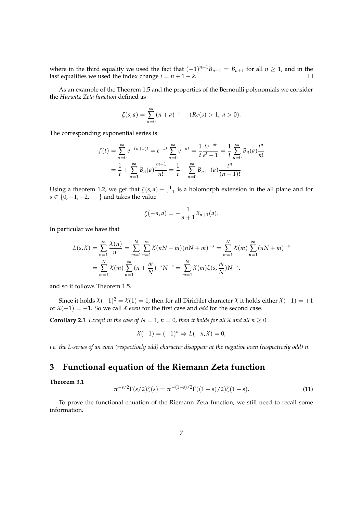where in the third equality we used the fact that  $(-1)^{n+1}B_{n+1} = B_{n+1}$  for all  $n \ge 1$ , and in the last equalities we used the index change  $i = n + 1 - k$ .

As an example of the Theorem [1.5](#page-3-0) and the properties of the Bernoulli polynomials we consider the *Hurwitz Zeta function* defined as

$$
\zeta(s,a) = \sum_{n=0}^{\infty} (n+a)^{-s} \quad (Re(s) > 1, a > 0).
$$

The corresponding exponential series is

$$
f(t) = \sum_{n=0}^{\infty} e^{-(n+a)t} = e^{-at} \sum_{n=0}^{\infty} e^{-nt} = \frac{1}{t} \frac{te^{-at}}{e^t - 1} = \frac{1}{t} \sum_{n=0}^{\infty} B_n(a) \frac{t^n}{n!}
$$

$$
= \frac{1}{t} + \sum_{n=1}^{\infty} B_n(a) \frac{t^{n-1}}{n!} = \frac{1}{t} + \sum_{n=0}^{\infty} B_{n+1}(a) \frac{t^n}{(n+1)!}
$$

Using a theorem [1.2,](#page-0-2) we get that  $\zeta(s, a) - \frac{1}{s-1}$  is a holomorph extension in the all plane and for  $s \in \{0, -1, -2, \cdots\}$  and takes the value

$$
\zeta(-n,a) = -\frac{1}{n+1}B_{n+1}(a).
$$

In particular we have that

$$
L(s,\mathcal{X}) = \sum_{n=1}^{\infty} \frac{\mathcal{X}(n)}{n^s} = \sum_{m=1}^{N} \sum_{n=1}^{\infty} \mathcal{X}(nN+m)(nN+m)^{-s} = \sum_{m=1}^{N} \mathcal{X}(m) \sum_{n=1}^{\infty} (nN+m)^{-s}
$$
  
= 
$$
\sum_{m=1}^{N} \mathcal{X}(m) \sum_{n=1}^{\infty} (n + \frac{m}{N})^{-s} N^{-s} = \sum_{m=1}^{N} \mathcal{X}(m) \zeta(s, \frac{m}{N}) N^{-s},
$$

and so it follows Theorem [1.5.](#page-3-0)

Since it holds  $\chi$ (-1)<sup>2</sup> =  $\chi$ (1) = 1, then for all Dirichlet character  $\chi$  it holds either  $\chi$ (-1) = +1 or  $X(-1) = -1$ . So we call  $X$  *even* for the first case and *odd* for the second case.

**Corollary 2.1** *Except in the case of*  $N = 1$ ,  $n = 0$ , *then it holds for all*  $\chi$  *and all*  $n \ge 0$ 

$$
\chi(-1) = (-1)^n \Rightarrow L(-n,\chi) = 0,
$$

*i.e. the L-series of an even (respectively odd) character disappear at the negative even (respectively odd) n.*

### **3 Functional equation of the Riemann Zeta function**

#### <span id="page-6-0"></span>**Theorem 3.1**

$$
\pi^{-s/2}\Gamma(s/2)\zeta(s) = \pi^{-(1-s)/2}\Gamma((1-s)/2)\zeta(1-s).
$$
 (11)

To prove the functional equation of the Riemann Zeta function, we still need to recall some information.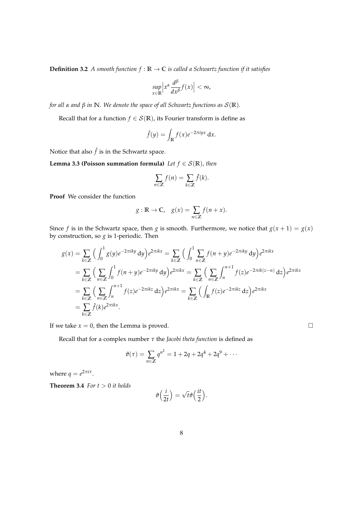**Definition 3.2** *A smooth function*  $f : \mathbb{R} \to \mathbb{C}$  *is called a Schwartz function if it satisfies* 

$$
\sup_{x\in\mathbb{R}}\left|x^{\alpha}\frac{d^{\beta}}{dx^{\beta}}f(x)\right|<\infty,
$$

*for all α and β in* **N***. We denote the space of all Schwartz functions as* S(**R**)*.*

Recall that for a function *f*  $\in S(\mathbb{R})$ , its Fourier transform is define as

$$
\hat{f}(y) = \int_{\mathbb{R}} f(x)e^{-2\pi iyx} dx.
$$

Notice that also  $\hat{f}$  is in the Schwartz space.

**Lemma 3.3 (Poisson summation formula)** *Let*  $f \in \mathcal{S}(\mathbb{R})$ *, then* 

$$
\sum_{n\in\mathbb{Z}}f(n)=\sum_{k\in\mathbb{Z}}\hat{f}(k).
$$

**Proof** We consider the function

$$
g: \mathbb{R} \to \mathbb{C}, \quad g(x) = \sum_{n \in \mathbb{Z}} f(n + x).
$$

Since *f* is in the Schwartz space, then *g* is smooth. Furthermore, we notice that  $g(x + 1) = g(x)$ by construction, so *g* is 1-periodic. Then

$$
g(x) = \sum_{k \in \mathbb{Z}} \left( \int_0^1 g(y) e^{-2\pi iky} dy \right) e^{2\pi i kx} = \sum_{k \in \mathbb{Z}} \left( \int_0^1 \sum_{n \in \mathbb{Z}} f(n+y) e^{-2\pi iky} dy \right) e^{2\pi i kx}
$$
  
\n
$$
= \sum_{k \in \mathbb{Z}} \left( \sum_{n \in \mathbb{Z}} \int_0^1 f(n+y) e^{-2\pi i ky} dy \right) e^{2\pi i kx} = \sum_{k \in \mathbb{Z}} \left( \sum_{n \in \mathbb{Z}} \int_n^{n+1} f(z) e^{-2\pi i k(z-n)} dz \right) e^{2\pi i kx}
$$
  
\n
$$
= \sum_{k \in \mathbb{Z}} \left( \sum_{n \in \mathbb{Z}} \int_n^{n+1} f(z) e^{-2\pi i kz} dz \right) e^{2\pi i kx} = \sum_{k \in \mathbb{Z}} \left( \int_{\mathbb{R}} f(z) e^{-2\pi i kz} dz \right) e^{2\pi i kx}
$$
  
\n
$$
= \sum_{k \in \mathbb{Z}} \hat{f}(k) e^{2\pi i kx}.
$$

If we take  $x = 0$ , then the Lemma is proved.

Recall that for a complex number *τ* the *Jacobi theta function* is defined as

<span id="page-7-0"></span>
$$
\vartheta(\tau) = \sum_{n \in \mathbb{Z}} q^{n^2} = 1 + 2q + 2q^4 + 2q^9 + \cdots
$$

where  $q = e^{2\pi i \tau}$ .

**Theorem 3.4** *For*  $t > 0$  *it holds* 

$$
\vartheta\Big(\frac{i}{2t}\Big)=\sqrt{t}\vartheta\Big(\frac{it}{2}\Big).
$$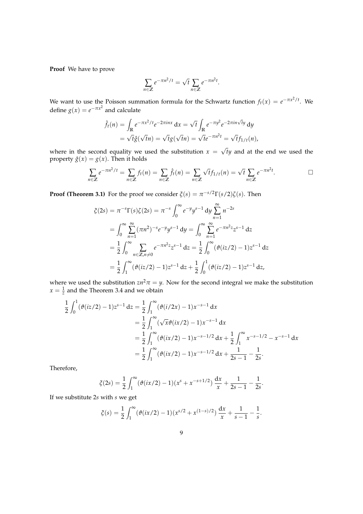**Proof** We have to prove

$$
\sum_{n \in \mathbb{Z}} e^{-\pi n^2/t} = \sqrt{t} \sum_{n \in \mathbb{Z}} e^{-\pi n^2 t}.
$$

We want to use the Poisson summation formula for the Schwartz function  $f_t(x) = e^{-\pi x^2/t}$ . We define  $g(x) = e^{-\pi x^2}$  and calculate

$$
\hat{f}_t(n) = \int_{\mathbb{R}} e^{-\pi x^2/t} e^{-2\pi i n x} dx = \sqrt{t} \int_{\mathbb{R}} e^{-\pi y^2} e^{-2\pi i n \sqrt{t} y} dy
$$

$$
= \sqrt{t} \hat{g}(\sqrt{t}n) = \sqrt{t} g(\sqrt{t}n) = \sqrt{t} e^{-\pi n^2 t} = \sqrt{t} f_{1/t}(n),
$$

where in the second equality we used the substitution  $x =$ *ty* and at the end we used the property  $\hat{g}(x) = g(x)$ . Then it holds

$$
\sum_{n\in\mathbb{Z}}e^{-\pi n^2/t}=\sum_{n\in\mathbb{Z}}f_t(n)=\sum_{n\in\mathbb{Z}}\hat{f}_t(n)=\sum_{n\in\mathbb{Z}}\sqrt{t}f_{1/t}(n)=\sqrt{t}\sum_{n\in\mathbb{Z}}e^{-\pi n^2t}.
$$

**Proof (Theorem [3.1\)](#page-6-0)** For the proof we consider  $\zeta(s) = \pi^{-s/2} \Gamma(s/2) \zeta(s)$ . Then

$$
\zeta(2s) = \pi^{-s} \Gamma(s) \zeta(2s) = \pi^{-s} \int_0^\infty e^{-y} y^{s-1} dy \sum_{n=1}^\infty n^{-2s}
$$
  
= 
$$
\int_0^\infty \sum_{n=1}^\infty (\pi n^2)^{-s} e^{-y} y^{s-1} dy = \int_0^\infty \sum_{n=1}^\infty e^{-\pi n^2 z} z^{s-1} dz
$$
  
= 
$$
\frac{1}{2} \int_0^\infty \sum_{n \in \mathbb{Z}, n \neq 0} e^{-\pi n^2 z} z^{s-1} dz = \frac{1}{2} \int_0^\infty (\vartheta(iz/2) - 1) z^{s-1} dz
$$
  
= 
$$
\frac{1}{2} \int_1^\infty (\vartheta(iz/2) - 1) z^{s-1} dz + \frac{1}{2} \int_0^1 (\vartheta(iz/2) - 1) z^{s-1} dz,
$$

where we used the substitution  $zn^2\pi = y$ . Now for the second integral we make the substitution  $x = \frac{1}{z}$  and the Theorem [3.4](#page-7-0) and we obtain

$$
\frac{1}{2} \int_0^1 (\vartheta(iz/2) - 1) z^{s-1} dz = \frac{1}{2} \int_1^\infty (\vartheta(i/2x) - 1) x^{-s-1} dx
$$
  
\n
$$
= \frac{1}{2} \int_1^\infty (\sqrt{x} \vartheta(ix/2) - 1) x^{-s-1} dx
$$
  
\n
$$
= \frac{1}{2} \int_1^\infty (\vartheta(ix/2) - 1) x^{-s-1/2} dx + \frac{1}{2} \int_1^\infty x^{-s-1/2} - x^{-s-1} dx
$$
  
\n
$$
= \frac{1}{2} \int_1^\infty (\vartheta(ix/2) - 1) x^{-s-1/2} dx + \frac{1}{2s-1} - \frac{1}{2s}.
$$

Therefore,

$$
\zeta(2s) = \frac{1}{2} \int_1^{\infty} (\vartheta(ix/2) - 1)(x^s + x^{-s+1/2}) \frac{dx}{x} + \frac{1}{2s-1} - \frac{1}{2s}.
$$

If we substitute 2*s* with *s* we get

$$
\zeta(s) = \frac{1}{2} \int_1^{\infty} (\vartheta(ix/2) - 1)(x^{s/2} + x^{(1-s)/2}) \frac{dx}{x} + \frac{1}{s-1} - \frac{1}{s}.
$$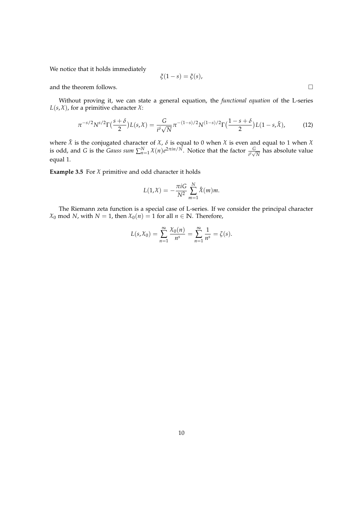We notice that it holds immediately

$$
\xi(1-s)=\xi(s),
$$

and the theorem follows.

Without proving it, we can state a general equation, the *functional equation* of the L-series  $L(s, \chi)$ , for a primitive character  $\chi$ :

$$
\pi^{-s/2}N^{s/2}\Gamma\left(\frac{s+\delta}{2}\right)L(s,\chi) = \frac{G}{i^{\delta}\sqrt{N}}\pi^{-(1-s)/2}N^{(1-s)/2}\Gamma\left(\frac{1-s+\delta}{2}\right)L(1-s,\tilde{\chi}),\tag{12}
$$

where  $\tilde{\chi}$  is the conjugated character of  $\chi$ ,  $\delta$  is equal to 0 when  $\chi$  is even and equal to 1 when  $\chi$ is odd, and *G* is the *Gauss sum*  $\sum_{n=1}^{N} \chi(n) e^{2\pi i n/N}$ . Notice that the factor  $\frac{G}{i^{\delta}\sqrt{N}}$  has absolute value equal 1.

**Example 3.5** For  $X$  primitive and odd character it holds

$$
L(1,\mathcal{X})=-\frac{\pi i G}{N^2}\sum_{m=1}^N \hat{\mathcal{X}}(m)m.
$$

The Riemann zeta function is a special case of L-series. If we consider the principal character  $\chi_0$  mod *N*, with *N* = 1, then  $\chi_0(n) = 1$  for all  $n \in \mathbb{N}$ . Therefore,

$$
L(s, \mathcal{X}_0) = \sum_{n=1}^{\infty} \frac{\mathcal{X}_0(n)}{n^s} = \sum_{n=1}^{\infty} \frac{1}{n^s} = \zeta(s).
$$